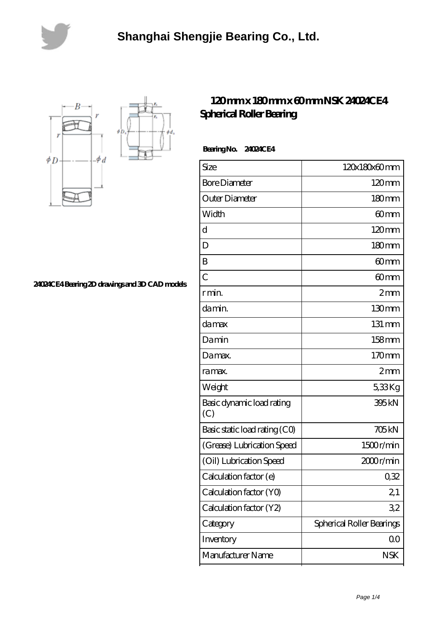



**[24024CE4 Bearing 2D drawings and 3D CAD models](https://lemeritagerestaurant.com/pic-446636.html)**

## **[120 mm x 180 mm x 60 mm NSK 24024CE4](https://lemeritagerestaurant.com/nsk-24024ce4-bearing/) [Spherical Roller Bearing](https://lemeritagerestaurant.com/nsk-24024ce4-bearing/)**

 **Bearing No. 24024CE4**

| Size                             | 120x180x60mm              |
|----------------------------------|---------------------------|
| <b>Bore Diameter</b>             | $120 \text{mm}$           |
| Outer Diameter                   | 180mm                     |
| Width                            | 60 <sub>mm</sub>          |
| d                                | $120 \text{mm}$           |
| D                                | 180 <sub>mm</sub>         |
| B                                | 60 <sub>mm</sub>          |
| $\overline{C}$                   | 60mm                      |
| r min.                           | 2mm                       |
| da min.                          | 130mm                     |
| damax                            | 131 mm                    |
| Damin                            | $158$ mm                  |
| Damax.                           | 170mm                     |
| ra max.                          | 2mm                       |
| Weight                           | 538Kg                     |
| Basic dynamic load rating<br>(C) | 395kN                     |
| Basic static load rating (CO)    | <b>705kN</b>              |
| (Grease) Lubrication Speed       | 1500r/min                 |
| (Oil) Lubrication Speed          | 2000r/min                 |
| Calculation factor (e)           | 0,32                      |
| Calculation factor (YO)          | 2,1                       |
| Calculation factor (Y2)          | 32                        |
| Category                         | Spherical Roller Bearings |
| Inventory                        | 0 <sub>0</sub>            |
| Manufacturer Name                | <b>NSK</b>                |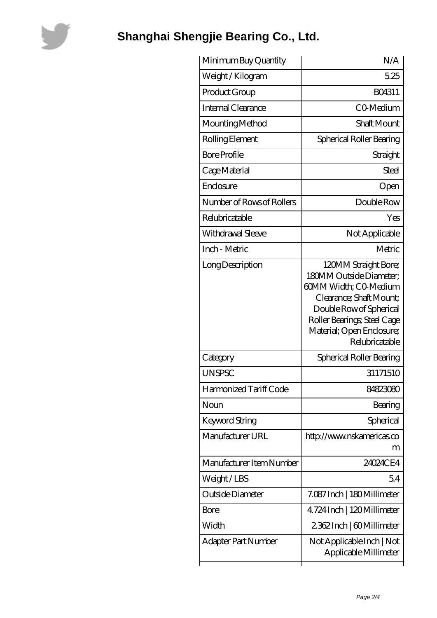

## **[Shanghai Shengjie Bearing Co., Ltd.](https://lemeritagerestaurant.com)**

| Minimum Buy Quantity      | N/A                                                                                                                                                                                                          |
|---------------------------|--------------------------------------------------------------------------------------------------------------------------------------------------------------------------------------------------------------|
| Weight/Kilogram           | 5.25                                                                                                                                                                                                         |
| Product Group             | BO4311                                                                                                                                                                                                       |
| Internal Clearance        | CO-Medium                                                                                                                                                                                                    |
| Mounting Method           | Shaft Mount                                                                                                                                                                                                  |
| Rolling Element           | Spherical Roller Bearing                                                                                                                                                                                     |
| <b>Bore Profile</b>       | Straight                                                                                                                                                                                                     |
| Cage Material             | Steel                                                                                                                                                                                                        |
| Enclosure                 | Open                                                                                                                                                                                                         |
| Number of Rows of Rollers | Double Row                                                                                                                                                                                                   |
| Relubricatable            | Yes                                                                                                                                                                                                          |
| Withdrawal Sleeve         | Not Applicable                                                                                                                                                                                               |
| Inch - Metric             | Metric                                                                                                                                                                                                       |
| Long Description          | 120MM Straight Bore;<br>180MM Outside Diameter;<br>60MM Width; CO-Medium<br>Clearance; Shaft Mount;<br>Double Row of Spherical<br>Roller Bearings; Steel Cage<br>Material; Open Enclosure;<br>Relubricatable |
| Category                  | Spherical Roller Bearing                                                                                                                                                                                     |
| <b>UNSPSC</b>             | 31171510                                                                                                                                                                                                     |
| Harmonized Tariff Code    | 84823080                                                                                                                                                                                                     |
| Noun                      | Bearing                                                                                                                                                                                                      |
| Keyword String            | Spherical                                                                                                                                                                                                    |
| Manufacturer URL          | http://www.nskamericas.co<br>m                                                                                                                                                                               |
| Manufacturer Item Number  | 24024CE4                                                                                                                                                                                                     |
| Weight/LBS                | 54                                                                                                                                                                                                           |
| Outside Diameter          | 7.087 Inch   180 Millimeter                                                                                                                                                                                  |
| <b>Bore</b>               | 4724Inch   120Millimeter                                                                                                                                                                                     |
| Width                     | 2362Inch   60Millimeter                                                                                                                                                                                      |
| Adapter Part Number       | Not Applicable Inch   Not<br>Applicable Millimeter                                                                                                                                                           |
|                           |                                                                                                                                                                                                              |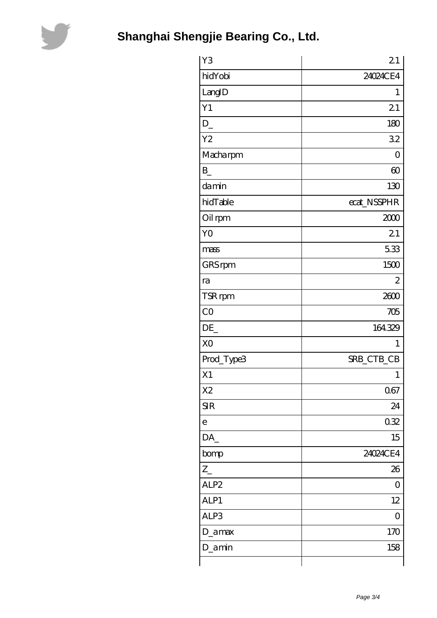

| Y3               | 21             |
|------------------|----------------|
| hidYobi          | 24024CE4       |
| LangID           | 1              |
| Y1               | 21             |
| $D_{-}$          | 180            |
| Y <sub>2</sub>   | 32             |
| Macharpm         | 0              |
| $\mathbf{B}$     | $\infty$       |
| damin            | 130            |
| hidTable         | ecat_NSSPHR    |
| Oil rpm          | 2000           |
| YO               | 21             |
| mass             | 5.33           |
| GRS rpm          | 1500           |
| ra               | $\overline{2}$ |
| TSR rpm          | 2600           |
| CO               | 705            |
| DE               | 164329         |
| X <sub>O</sub>   | 1              |
| Prod_Type3       | SRB_CTB_CB     |
| X1               | 1              |
| X <sub>2</sub>   | 067            |
| <b>SIR</b>       | 24             |
| $\overline{e}$   | 0.32           |
| DA_              | 15             |
| bomp             | 24024CE4       |
| $Z_{-}$          | 26             |
| ALP <sub>2</sub> | 0              |
| ALP1             | 12             |
| ALP3             | $\overline{O}$ |
| D_amax           | 170            |
| D_amin           | 158            |
|                  |                |